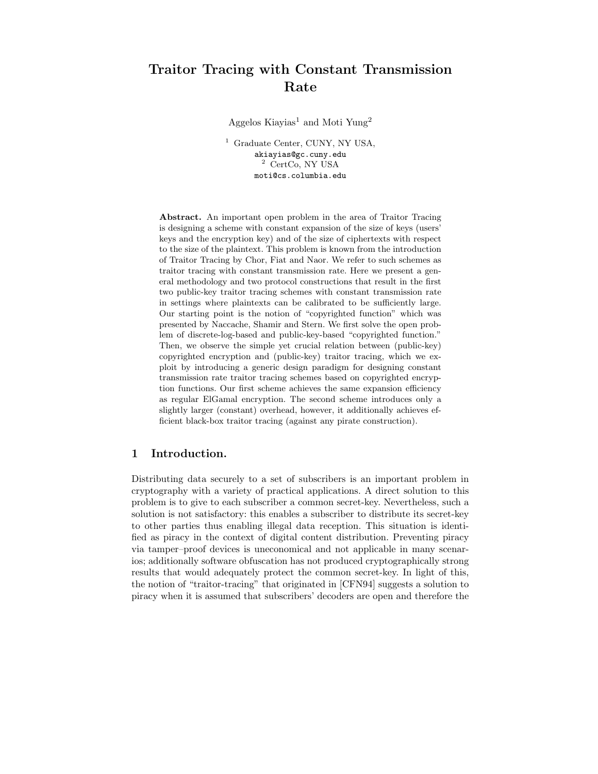# Traitor Tracing with Constant Transmission Rate

Aggelos Kiayias<sup>1</sup> and Moti Yung<sup>2</sup>

<sup>1</sup> Graduate Center, CUNY, NY USA, akiayias@gc.cuny.edu <sup>2</sup> CertCo, NY USA moti@cs.columbia.edu

Abstract. An important open problem in the area of Traitor Tracing is designing a scheme with constant expansion of the size of keys (users' keys and the encryption key) and of the size of ciphertexts with respect to the size of the plaintext. This problem is known from the introduction of Traitor Tracing by Chor, Fiat and Naor. We refer to such schemes as traitor tracing with constant transmission rate. Here we present a general methodology and two protocol constructions that result in the first two public-key traitor tracing schemes with constant transmission rate in settings where plaintexts can be calibrated to be sufficiently large. Our starting point is the notion of "copyrighted function" which was presented by Naccache, Shamir and Stern. We first solve the open problem of discrete-log-based and public-key-based "copyrighted function." Then, we observe the simple yet crucial relation between (public-key) copyrighted encryption and (public-key) traitor tracing, which we exploit by introducing a generic design paradigm for designing constant transmission rate traitor tracing schemes based on copyrighted encryption functions. Our first scheme achieves the same expansion efficiency as regular ElGamal encryption. The second scheme introduces only a slightly larger (constant) overhead, however, it additionally achieves efficient black-box traitor tracing (against any pirate construction).

# 1 Introduction.

Distributing data securely to a set of subscribers is an important problem in cryptography with a variety of practical applications. A direct solution to this problem is to give to each subscriber a common secret-key. Nevertheless, such a solution is not satisfactory: this enables a subscriber to distribute its secret-key to other parties thus enabling illegal data reception. This situation is identified as piracy in the context of digital content distribution. Preventing piracy via tamper–proof devices is uneconomical and not applicable in many scenarios; additionally software obfuscation has not produced cryptographically strong results that would adequately protect the common secret-key. In light of this, the notion of "traitor-tracing" that originated in [CFN94] suggests a solution to piracy when it is assumed that subscribers' decoders are open and therefore the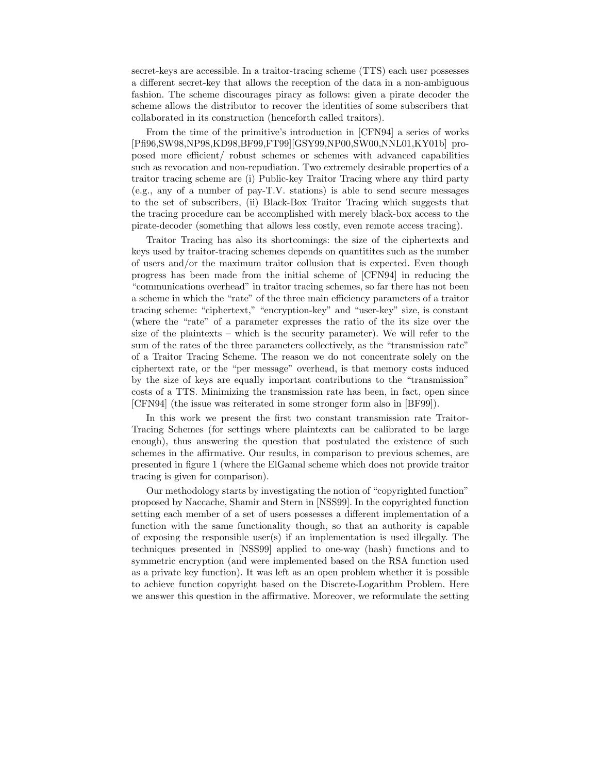secret-keys are accessible. In a traitor-tracing scheme (TTS) each user possesses a different secret-key that allows the reception of the data in a non-ambiguous fashion. The scheme discourages piracy as follows: given a pirate decoder the scheme allows the distributor to recover the identities of some subscribers that collaborated in its construction (henceforth called traitors).

From the time of the primitive's introduction in [CFN94] a series of works [Pfi96,SW98,NP98,KD98,BF99,FT99][GSY99,NP00,SW00,NNL01,KY01b] proposed more efficient/ robust schemes or schemes with advanced capabilities such as revocation and non-repudiation. Two extremely desirable properties of a traitor tracing scheme are (i) Public-key Traitor Tracing where any third party (e.g., any of a number of pay-T.V. stations) is able to send secure messages to the set of subscribers, (ii) Black-Box Traitor Tracing which suggests that the tracing procedure can be accomplished with merely black-box access to the pirate-decoder (something that allows less costly, even remote access tracing).

Traitor Tracing has also its shortcomings: the size of the ciphertexts and keys used by traitor-tracing schemes depends on quantitites such as the number of users and/or the maximum traitor collusion that is expected. Even though progress has been made from the initial scheme of [CFN94] in reducing the "communications overhead" in traitor tracing schemes, so far there has not been a scheme in which the "rate" of the three main efficiency parameters of a traitor tracing scheme: "ciphertext," "encryption-key" and "user-key" size, is constant (where the "rate" of a parameter expresses the ratio of the its size over the size of the plaintexts – which is the security parameter). We will refer to the sum of the rates of the three parameters collectively, as the "transmission rate" of a Traitor Tracing Scheme. The reason we do not concentrate solely on the ciphertext rate, or the "per message" overhead, is that memory costs induced by the size of keys are equally important contributions to the "transmission" costs of a TTS. Minimizing the transmission rate has been, in fact, open since [CFN94] (the issue was reiterated in some stronger form also in [BF99]).

In this work we present the first two constant transmission rate Traitor-Tracing Schemes (for settings where plaintexts can be calibrated to be large enough), thus answering the question that postulated the existence of such schemes in the affirmative. Our results, in comparison to previous schemes, are presented in figure 1 (where the ElGamal scheme which does not provide traitor tracing is given for comparison).

Our methodology starts by investigating the notion of "copyrighted function" proposed by Naccache, Shamir and Stern in [NSS99]. In the copyrighted function setting each member of a set of users possesses a different implementation of a function with the same functionality though, so that an authority is capable of exposing the responsible user(s) if an implementation is used illegally. The techniques presented in [NSS99] applied to one-way (hash) functions and to symmetric encryption (and were implemented based on the RSA function used as a private key function). It was left as an open problem whether it is possible to achieve function copyright based on the Discrete-Logarithm Problem. Here we answer this question in the affirmative. Moreover, we reformulate the setting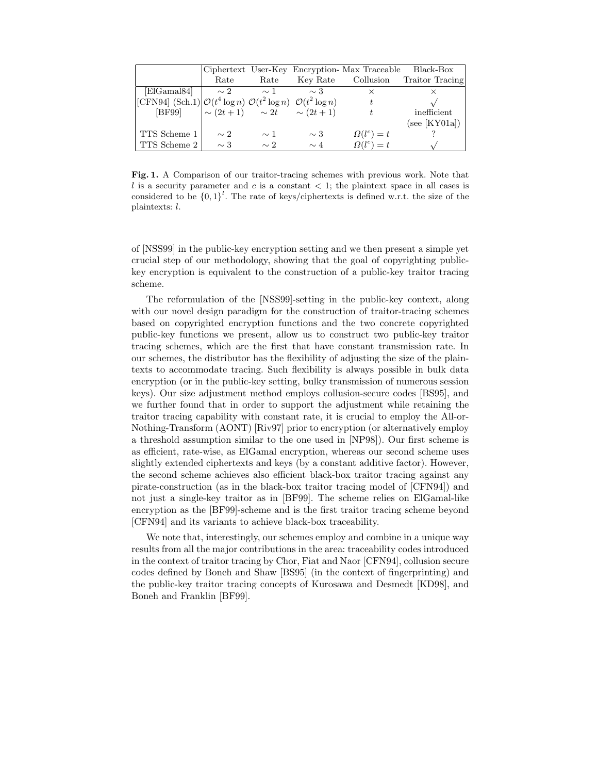|                                                                                           |                 |          |                                       | Ciphertext User-Key Encryption- Max Traceable | Black-Box       |
|-------------------------------------------------------------------------------------------|-----------------|----------|---------------------------------------|-----------------------------------------------|-----------------|
|                                                                                           | Rate            | Rate     |                                       | Key Rate Collusion                            | Traitor Tracing |
| [ElGamal84]                                                                               | $\sim 2 \sim 1$ |          | $\sim$ 3                              | $\times$                                      |                 |
| [CFN94] (Sch.1) $\mathcal{O}(t^4 \log n) \mathcal{O}(t^2 \log n) \mathcal{O}(t^2 \log n)$ |                 |          |                                       |                                               |                 |
| [BF99]                                                                                    |                 |          | $\sim (2t+1)$ $\sim 2t$ $\sim (2t+1)$ |                                               | inefficient     |
|                                                                                           |                 |          |                                       |                                               | (see [KY01a])   |
| TTS Scheme 1                                                                              | $\sim$ 2        | $\sim$ 1 | $\sim$ 3                              | $\Omega(l^c) = t$                             |                 |
| TTS Scheme 2                                                                              | $\sim$ 3        | $\sim$ 2 | $\sim 4$                              | $\Omega(l^c) = t$                             |                 |

Fig. 1. A Comparison of our traitor-tracing schemes with previous work. Note that l is a security parameter and c is a constant  $\lt 1$ ; the plaintext space in all cases is considered to be  ${0,1}^l$ . The rate of keys/ciphertexts is defined w.r.t. the size of the plaintexts: l.

of [NSS99] in the public-key encryption setting and we then present a simple yet crucial step of our methodology, showing that the goal of copyrighting publickey encryption is equivalent to the construction of a public-key traitor tracing scheme.

The reformulation of the [NSS99]-setting in the public-key context, along with our novel design paradigm for the construction of traitor-tracing schemes based on copyrighted encryption functions and the two concrete copyrighted public-key functions we present, allow us to construct two public-key traitor tracing schemes, which are the first that have constant transmission rate. In our schemes, the distributor has the flexibility of adjusting the size of the plaintexts to accommodate tracing. Such flexibility is always possible in bulk data encryption (or in the public-key setting, bulky transmission of numerous session keys). Our size adjustment method employs collusion-secure codes [BS95], and we further found that in order to support the adjustment while retaining the traitor tracing capability with constant rate, it is crucial to employ the All-or-Nothing-Transform (AONT) [Riv97] prior to encryption (or alternatively employ a threshold assumption similar to the one used in [NP98]). Our first scheme is as efficient, rate-wise, as ElGamal encryption, whereas our second scheme uses slightly extended ciphertexts and keys (by a constant additive factor). However, the second scheme achieves also efficient black-box traitor tracing against any pirate-construction (as in the black-box traitor tracing model of [CFN94]) and not just a single-key traitor as in [BF99]. The scheme relies on ElGamal-like encryption as the [BF99]-scheme and is the first traitor tracing scheme beyond [CFN94] and its variants to achieve black-box traceability.

We note that, interestingly, our schemes employ and combine in a unique way results from all the major contributions in the area: traceability codes introduced in the context of traitor tracing by Chor, Fiat and Naor [CFN94], collusion secure codes defined by Boneh and Shaw [BS95] (in the context of fingerprinting) and the public-key traitor tracing concepts of Kurosawa and Desmedt [KD98], and Boneh and Franklin [BF99].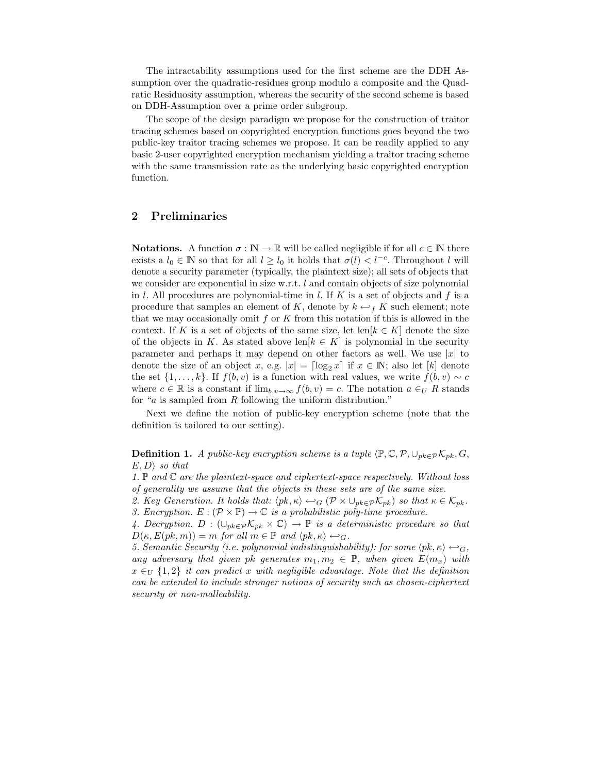The intractability assumptions used for the first scheme are the DDH Assumption over the quadratic-residues group modulo a composite and the Quadratic Residuosity assumption, whereas the security of the second scheme is based on DDH-Assumption over a prime order subgroup.

The scope of the design paradigm we propose for the construction of traitor tracing schemes based on copyrighted encryption functions goes beyond the two public-key traitor tracing schemes we propose. It can be readily applied to any basic 2-user copyrighted encryption mechanism yielding a traitor tracing scheme with the same transmission rate as the underlying basic copyrighted encryption function.

# 2 Preliminaries

**Notations.** A function  $\sigma : \mathbb{N} \to \mathbb{R}$  will be called negligible if for all  $c \in \mathbb{N}$  there exists a  $l_0 \in \mathbb{N}$  so that for all  $l \geq l_0$  it holds that  $\sigma(l) < l^{-c}$ . Throughout l will denote a security parameter (typically, the plaintext size); all sets of objects that we consider are exponential in size w.r.t. l and contain objects of size polynomial in  $l$ . All procedures are polynomial-time in  $l$ . If  $K$  is a set of objects and  $f$  is a procedure that samples an element of K, denote by  $k \leftrightarrow f K$  such element; note that we may occasionally omit  $f$  or  $K$  from this notation if this is allowed in the context. If K is a set of objects of the same size, let  $\text{len}[k \in K]$  denote the size of the objects in K. As stated above len $[k \in K]$  is polynomial in the security parameter and perhaps it may depend on other factors as well. We use  $|x|$  to denote the size of an object x, e.g.  $|x| = \lceil \log_2 x \rceil$  if  $x \in \mathbb{N}$ ; also let [k] denote the set  $\{1, \ldots, k\}$ . If  $f(b, v)$  is a function with real values, we write  $f(b, v) \sim c$ where  $c \in \mathbb{R}$  is a constant if  $\lim_{b,v\to\infty} f(b,v) = c$ . The notation  $a \in U$  R stands for " $a$  is sampled from  $R$  following the uniform distribution."

Next we define the notion of public-key encryption scheme (note that the definition is tailored to our setting).

**Definition 1.** A public-key encryption scheme is a tuple  $\langle \mathbb{P}, \mathbb{C}, \mathcal{P}, \cup_{nk \in \mathcal{P}} \mathcal{K}_{nk}, G$ ,  $E, D$  so that

1.  $\mathbb P$  and  $\mathbb C$  are the plaintext-space and ciphertext-space respectively. Without loss of generality we assume that the objects in these sets are of the same size.

2. Key Generation. It holds that:  $\langle pk, \kappa \rangle \leftarrow_G (\mathcal{P} \times \bigcup_{pk \in \mathcal{P}} \mathcal{K}_{pk})$  so that  $\kappa \in \mathcal{K}_{pk}$ . 3. Encryption.  $E : (\mathcal{P} \times \mathbb{P}) \to \mathbb{C}$  is a probabilistic poly-time procedure.

4. Decryption. D :  $(\cup_{pk\in\mathcal{P}}\mathcal{K}_{pk}\times\mathbb{C}) \to \mathbb{P}$  is a deterministic procedure so that  $D(\kappa, E(pk, m)) = m$  for all  $m \in \mathbb{P}$  and  $\langle pk, \kappa \rangle \leftarrow_G$ .

5. Semantic Security (i.e. polynomial indistinguishability): for some  $\langle pk, \kappa \rangle \leftarrow_G$ , any adversary that given pk generates  $m_1, m_2 \in \mathbb{P}$ , when given  $E(m_x)$  with  $x \in U$  {1,2} it can predict x with negligible advantage. Note that the definition can be extended to include stronger notions of security such as chosen-ciphertext security or non-malleability.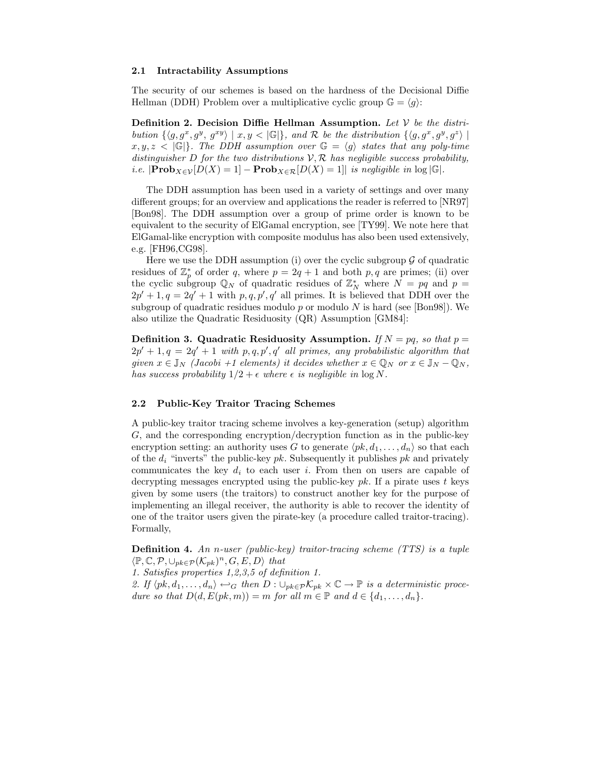#### 2.1 Intractability Assumptions

The security of our schemes is based on the hardness of the Decisional Diffie Hellman (DDH) Problem over a multiplicative cyclic group  $\mathbb{G} = \langle g \rangle$ :

Definition 2. Decision Diffie Hellman Assumption. Let  $V$  be the distribution  $\{\langle g, g^x, g^y, g^{xy}\rangle \mid x, y \in |\mathbb{G}|\}$ , and R be the distribution  $\{\langle g, g^x, g^y, g^z\rangle \mid$  $x, y, z < |\mathbb{G}|$ . The DDH assumption over  $\mathbb{G} = \langle q \rangle$  states that any poly-time distinguisher D for the two distributions  $V, R$  has negligible success probability, i.e.  $|\mathbf{Prob}_{X \in \mathcal{V}}[D(X) = 1] - \mathbf{Prob}_{X \in \mathcal{R}}[D(X) = 1]|$  is negligible in  $\log |\mathbb{G}|$ .

The DDH assumption has been used in a variety of settings and over many different groups; for an overview and applications the reader is referred to [NR97] [Bon98]. The DDH assumption over a group of prime order is known to be equivalent to the security of ElGamal encryption, see [TY99]. We note here that ElGamal-like encryption with composite modulus has also been used extensively, e.g. [FH96,CG98].

Here we use the DDH assumption (i) over the cyclic subgroup  $\mathcal G$  of quadratic residues of  $\mathbb{Z}_p^*$  of order q, where  $p = 2q + 1$  and both p, q are primes; (ii) over the cyclic subgroup  $\mathbb{Q}_N$  of quadratic residues of  $\mathbb{Z}_N^*$  where  $N = pq$  and  $p =$  $2p' + 1, q = 2q' + 1$  with  $p, q, p', q'$  all primes. It is believed that DDH over the subgroup of quadratic residues modulo  $p$  or modulo  $N$  is hard (see [Bon98]). We also utilize the Quadratic Residuosity (QR) Assumption [GM84]:

Definition 3. Quadratic Residuosity Assumption. If  $N = pq$ , so that  $p =$  $2p' + 1, q = 2q' + 1$  with p, q, p', q' all primes, any probabilistic algorithm that given  $x \in \mathbb{J}_N$  (Jacobi +1 elements) it decides whether  $x \in \mathbb{Q}_N$  or  $x \in \mathbb{J}_N - \mathbb{Q}_N$ , has success probability  $1/2 + \epsilon$  where  $\epsilon$  is negligible in  $\log N$ .

### 2.2 Public-Key Traitor Tracing Schemes

A public-key traitor tracing scheme involves a key-generation (setup) algorithm G, and the corresponding encryption/decryption function as in the public-key encryption setting: an authority uses G to generate  $\langle pk, d_1, \ldots, d_n \rangle$  so that each of the  $d_i$  "inverts" the public-key pk. Subsequently it publishes pk and privately communicates the key  $d_i$  to each user i. From then on users are capable of decrypting messages encrypted using the public-key  $pk$ . If a pirate uses t keys given by some users (the traitors) to construct another key for the purpose of implementing an illegal receiver, the authority is able to recover the identity of one of the traitor users given the pirate-key (a procedure called traitor-tracing). Formally,

Definition 4. An n-user (public-key) traitor-tracing scheme (TTS) is a tuple  $\langle \mathbb{P}, \mathbb{C}, \mathcal{P}, \cup_{pk \in \mathcal{P}} (\mathcal{K}_{pk})^n, G, E, D \rangle$  that

1. Satisfies properties 1,2,3,5 of definition 1.

2. If  $\langle pk, d_1, \ldots, d_n \rangle \leftarrow_G$  then  $D : \bigcup_{pk \in \mathcal{P}} \mathcal{K}_{pk} \times \mathbb{C} \rightarrow \mathbb{P}$  is a deterministic procedure so that  $D(d, E(pk, m)) = m$  for all  $m \in \mathbb{P}$  and  $d \in \{d_1, \ldots, d_n\}.$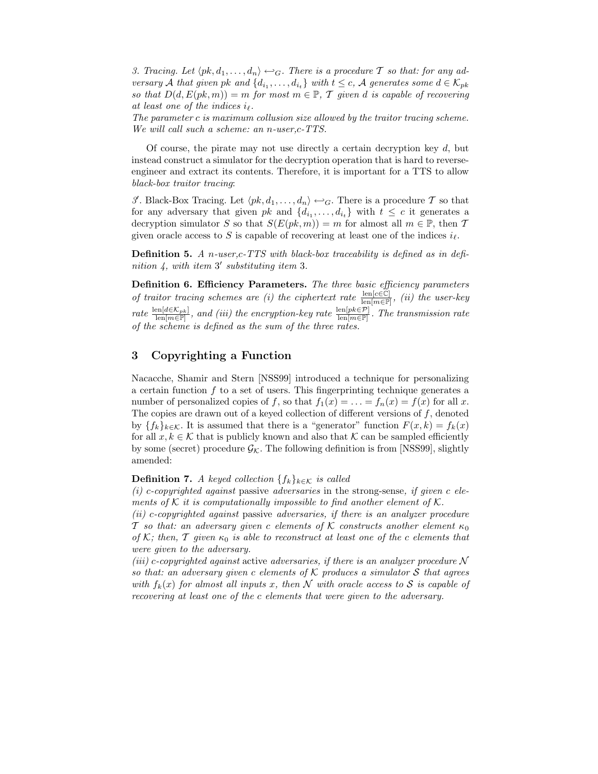3. Tracing. Let  $\langle pk, d_1, \ldots, d_n \rangle \leftarrow_G$ . There is a procedure T so that: for any adversary A that given pk and  $\{d_{i_1}, \ldots, d_{i_t}\}$  with  $t \leq c$ , A generates some  $d \in \mathcal{K}_{pk}$ so that  $D(d, E(pk, m)) = m$  for most  $m \in \mathbb{P}$ , T given d is capable of recovering at least one of the indices  $i_{\ell}$ .

The parameter c is maximum collusion size allowed by the traitor tracing scheme. We will call such a scheme: an n-user, c-TTS.

Of course, the pirate may not use directly a certain decryption key  $d$ , but instead construct a simulator for the decryption operation that is hard to reverseengineer and extract its contents. Therefore, it is important for a TTS to allow black-box traitor tracing:

 $\mathcal{J}$ . Black-Box Tracing. Let  $\langle pk, d_1, \ldots, d_n \rangle \hookrightarrow_G$ . There is a procedure T so that for any adversary that given  $pk$  and  $\{d_{i_1},...,d_{i_t}\}\$  with  $t \leq c$  it generates a decryption simulator S so that  $S(E(pk, m)) = m$  for almost all  $m \in \mathbb{P}$ , then T given oracle access to S is capable of recovering at least one of the indices  $i_{\ell}$ .

Definition 5. A n-user,c-TTS with black-box traceability is defined as in definition  $4$ , with item  $3'$  substituting item 3.

Definition 6. Efficiency Parameters. The three basic efficiency parameters of traitor tracing schemes are (i) the ciphertext rate  $\frac{\text{len}[c \in \mathbb{C}]}{\text{len}[m \in \mathbb{P}]}$ , (ii) the user-key rate  $\frac{\text{len}[d \in \mathcal{K}_{pk}]}{\text{len}[m \in \mathbb{P}]}$ , and (iii) the encryption-key rate  $\frac{\text{len}[pk \in \mathcal{P}]}{\text{len}[m \in \mathbb{P}]}$ . The transmission rate of the scheme is defined as the sum of the three rates.

# 3 Copyrighting a Function

Nacacche, Shamir and Stern [NSS99] introduced a technique for personalizing a certain function  $f$  to a set of users. This fingerprinting technique generates a number of personalized copies of f, so that  $f_1(x) = \ldots = f_n(x) = f(x)$  for all x. The copies are drawn out of a keyed collection of different versions of  $f$ , denoted by  ${f_k}_{k \in \mathcal{K}}$ . It is assumed that there is a "generator" function  $F(x, k) = f_k(x)$ for all  $x, k \in \mathcal{K}$  that is publicly known and also that  $\mathcal{K}$  can be sampled efficiently by some (secret) procedure  $\mathcal{G}_{\mathcal{K}}$ . The following definition is from [NSS99], slightly amended:

**Definition 7.** A keyed collection  $\{f_k\}_{k\in\mathcal{K}}$  is called

(i) c-copyrighted against passive adversaries in the strong-sense, if given c elements of K it is computationally impossible to find another element of K.

(ii) c-copyrighted against passive adversaries, if there is an analyzer procedure T so that: an adversary given c elements of K constructs another element  $\kappa_0$ of K; then, T given  $\kappa_0$  is able to reconstruct at least one of the c elements that were given to the adversary.

(iii) c-copyrighted against active adversaries, if there is an analyzer procedure  $\mathcal N$ so that: an adversary given c elements of  $\mathcal K$  produces a simulator S that agrees with  $f_k(x)$  for almost all inputs x, then N with oracle access to S is capable of recovering at least one of the c elements that were given to the adversary.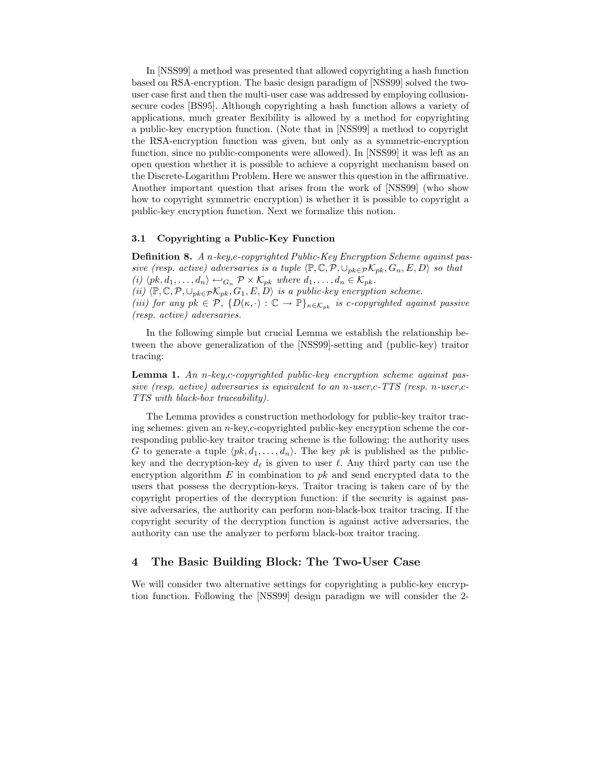In [NSS99] a method was presented that allowed copyrighting a hash function based on RSA-encryption. The basic design paradigm of [NSS99] solved the twouser case first and then the multi-user case was addressed by employing collusionsecure codes [BS95]. Although copyrighting a hash function allows a variety of applications, much greater flexibility is allowed by a method for copyrighting a public-key encryption function. (Note that in [NSS99] a method to copyright the RSA-encryption function was given, but only as a symmetric-encryption function, since no public-components were allowed). In [NSS99] it was left as an open question whether it is possible to achieve a copyright mechanism based on the Discrete-Logarithm Problem. Here we answer this question in the affirmative. Another important question that arises from the work of [NSS99] (who show how to copyright symmetric encryption) is whether it is possible to copyright a public-key encryption function. Next we formalize this notion.

### 3.1 Copyrighting a Public-Key Function

Definition 8. A n-key,c-copyrighted Public-Key Encryption Scheme against passive (resp. active) adversaries is a tuple  $\langle \mathbb{P}, \mathbb{C}, \mathcal{P}, \cup_{pk \in \mathcal{P}} \mathcal{K}_{pk}, G_n, E, D \rangle$  so that (i)  $\langle pk, d_1, \ldots, d_n \rangle \leftarrow_{G_n} \mathcal{P} \times \mathcal{K}_{pk}$  where  $d_1, \ldots, d_n \in \mathcal{K}_{pk}$ . (ii)  $\langle \mathbb{P}, \mathbb{C}, \mathcal{P}, \cup_{pk \in \mathcal{P}} \mathcal{K}_{pk}, G_1, E, D \rangle$  is a public-key encryption scheme. (iii) for any  $pk \in \mathcal{P}, \{D(\kappa,\cdot): \mathbb{C} \to \mathbb{P}\}_{\kappa \in \mathcal{K}_{pk}}$  is c-copyrighted against passive (resp. active) adversaries.

In the following simple but crucial Lemma we establish the relationship between the above generalization of the [NSS99]-setting and (public-key) traitor tracing:

Lemma 1. An n-key,c-copyrighted public-key encryption scheme against passive (resp. active) adversaries is equivalent to an n-user,c-TTS (resp. n-user,c-TTS with black-box traceability).

The Lemma provides a construction methodology for public-key traitor tracing schemes: given an n-key,c-copyrighted public-key encryption scheme the corresponding public-key traitor tracing scheme is the following: the authority uses G to generate a tuple  $\langle pk, d_1, \ldots, d_n \rangle$ . The key pk is published as the publickey and the decryption-key  $d_{\ell}$  is given to user  $\ell$ . Any third party can use the encryption algorithm  $E$  in combination to  $pk$  and send encrypted data to the users that possess the decryption-keys. Traitor tracing is taken care of by the copyright properties of the decryption function: if the security is against passive adversaries, the authority can perform non-black-box traitor tracing. If the copyright security of the decryption function is against active adversaries, the authority can use the analyzer to perform black-box traitor tracing.

# 4 The Basic Building Block: The Two-User Case

We will consider two alternative settings for copyrighting a public-key encryption function. Following the [NSS99] design paradigm we will consider the 2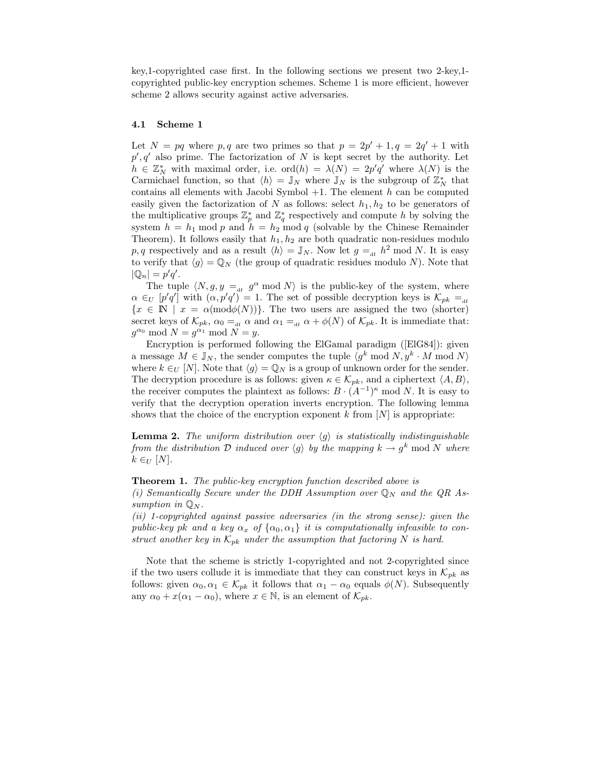key,1-copyrighted case first. In the following sections we present two 2-key,1 copyrighted public-key encryption schemes. Scheme 1 is more efficient, however scheme 2 allows security against active adversaries.

### 4.1 Scheme 1

Let  $N = pq$  where p, q are two primes so that  $p = 2p' + 1, q = 2q' + 1$  with  $p', q'$  also prime. The factorization of N is kept secret by the authority. Let  $h \in \mathbb{Z}_N^*$  with maximal order, i.e. ord $(h) = \lambda(N) = 2p'q'$  where  $\lambda(N)$  is the Carmichael function, so that  $\langle h \rangle = \mathbb{J}_N$  where  $\mathbb{J}_N$  is the subgroup of  $\mathbb{Z}_N^*$  that contains all elements with Jacobi Symbol  $+1$ . The element h can be computed easily given the factorization of N as follows: select  $h_1, h_2$  to be generators of the multiplicative groups  $\mathbb{Z}_p^*$  and  $\mathbb{Z}_q^*$  respectively and compute h by solving the system  $h = h_1 \text{ mod } p$  and  $h = h_2 \text{ mod } q$  (solvable by the Chinese Remainder Theorem). It follows easily that  $h_1, h_2$  are both quadratic non-residues modulo p, q respectively and as a result  $\langle h \rangle = \mathbb{J}_N$ . Now let  $g =_{df} h^2 \text{ mod } N$ . It is easy to verify that  $\langle g \rangle = \mathbb{Q}_N$  (the group of quadratic residues modulo N). Note that  $|\mathbb{Q}_n| = p'q'.$ 

The tuple  $\langle N, g, y \rangle =_{df} g^{\alpha} \mod N$  is the public-key of the system, where  $\alpha \in U$  [p'q'] with  $(\alpha, p'q') = 1$ . The set of possible decryption keys is  $\mathcal{K}_{pk} =_{df}$  ${x \in \mathbb{N} \mid x = \alpha(\text{mod}\phi(N))}$ . The two users are assigned the two (shorter) secret keys of  $\mathcal{K}_{pk}$ ,  $\alpha_0 =_{df} \alpha$  and  $\alpha_1 =_{df} \alpha + \phi(N)$  of  $\mathcal{K}_{pk}$ . It is immediate that:  $g^{\alpha_0} \bmod N = g^{\alpha_1} \bmod N = y.$ 

Encryption is performed following the ElGamal paradigm ([ElG84]): given a message  $M \in \mathbb{J}_N$ , the sender computes the tuple  $\langle g^k \bmod N, y^k \cdot M \bmod N \rangle$ where  $k \in U$  [N]. Note that  $\langle q \rangle = \mathbb{Q}_N$  is a group of unknown order for the sender. The decryption procedure is as follows: given  $\kappa \in \mathcal{K}_{pk}$ , and a ciphertext  $\langle A, B \rangle$ , the receiver computes the plaintext as follows:  $B \cdot (A^{-1})^{\kappa}$  mod N. It is easy to verify that the decryption operation inverts encryption. The following lemma shows that the choice of the encryption exponent  $k$  from  $[N]$  is appropriate:

**Lemma 2.** The uniform distribution over  $\langle g \rangle$  is statistically indistinguishable from the distribution D induced over  $\langle g \rangle$  by the mapping  $k \to g^k \mod N$  where  $k \in U$  [N].

## **Theorem 1.** The public-key encryption function described above is (i) Semantically Secure under the DDH Assumption over  $\mathbb{Q}_N$  and the QR Assumption in  $\mathbb{Q}_N$ .

(ii) 1-copyrighted against passive adversaries (in the strong sense): given the public-key pk and a key  $\alpha_x$  of  $\{\alpha_0, \alpha_1\}$  it is computationally infeasible to construct another key in  $\mathcal{K}_{pk}$  under the assumption that factoring N is hard.

Note that the scheme is strictly 1-copyrighted and not 2-copyrighted since if the two users collude it is immediate that they can construct keys in  $\mathcal{K}_{pk}$  as follows: given  $\alpha_0, \alpha_1 \in \mathcal{K}_{pk}$  it follows that  $\alpha_1 - \alpha_0$  equals  $\phi(N)$ . Subsequently any  $\alpha_0 + x(\alpha_1 - \alpha_0)$ , where  $x \in \mathbb{N}$ , is an element of  $\mathcal{K}_{pk}$ .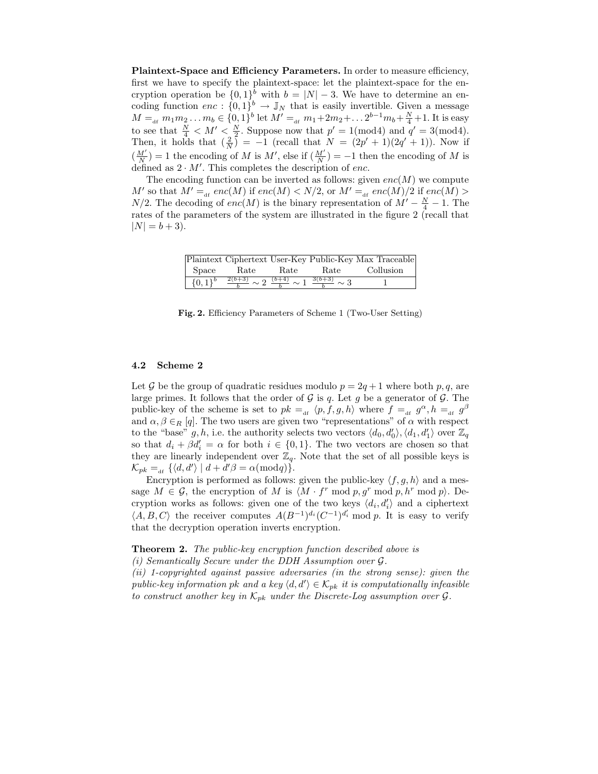Plaintext-Space and Efficiency Parameters. In order to measure efficiency, first we have to specify the plaintext-space: let the plaintext-space for the encryption operation be  $\{0,1\}^b$  with  $b = |N| - 3$ . We have to determine an encoding function  $enc: \{0,1\}^b \to \mathbb{J}_N$  that is easily invertible. Given a message  $M =_{\text{df}} m_1 m_2 \dots m_b \in \{0, 1\}^b$  let  $M' =_{\text{df}} m_1 + 2m_2 + \dots + 2^{b-1} m_b + \frac{N}{4} + 1$ . It is easy to see that  $\frac{N}{4} < M' < \frac{N}{2}$ . Suppose now that  $p' = 1 \pmod{4}$  and  $q' = 3 \pmod{4}$ . Then, it holds that  $\left(\frac{2}{N}\right) = -1$  (recall that  $N = (2p' + 1)(2q' + 1)$ ). Now if  $\left(\frac{M'}{N}\right) = 1$  the encoding of M is M', else if  $\left(\frac{M'}{N}\right) = -1$  then the encoding of M is defined as  $2 \cdot M'$ . This completes the description of enc.

The encoding function can be inverted as follows: given  $enc(M)$  we compute M' so that  $M' =_{\text{df}} enc(M)$  if  $enc(M) < N/2$ , or  $M' =_{\text{df}} enc(M)/2$  if  $enc(M) >$  $N/2$ . The decoding of enc(M) is the binary representation of  $M' - \frac{N}{4} - 1$ . The rates of the parameters of the system are illustrated in the figure 2 (recall that  $|N| = b + 3$ .

|             |          |                                                        |      | Plaintext Ciphertext User-Key Public-Key Max Traceable |
|-------------|----------|--------------------------------------------------------|------|--------------------------------------------------------|
| Space       | Rate     | Rate                                                   | Rate | Collusion                                              |
| $\{0,1\}^b$ | $2(b+3)$ | $\sim$ 2 $\frac{(b+4)}{2}$ $\sim$ 1 $\frac{3(b+3)}{2}$ |      |                                                        |

Fig. 2. Efficiency Parameters of Scheme 1 (Two-User Setting)

#### 4.2 Scheme 2

Let G be the group of quadratic residues modulo  $p = 2q + 1$  where both p, q, are large primes. It follows that the order of  $\mathcal G$  is  $q$ . Let g be a generator of  $\mathcal G$ . The public-key of the scheme is set to  $pk =$ <sub>df</sub>  $\langle p, f, g, h \rangle$  where  $f =$ <sub>df</sub>  $g^{\alpha}, h =$ <sub>df</sub>  $g^{\beta}$ and  $\alpha, \beta \in_R [q]$ . The two users are given two "representations" of  $\alpha$  with respect to the "base"  $g, h$ , i.e. the authority selects two vectors  $\langle d_0, d'_0 \rangle, \langle d_1, d'_1 \rangle$  over  $\mathbb{Z}_q$ so that  $d_i + \beta d'_i = \alpha$  for both  $i \in \{0,1\}$ . The two vectors are chosen so that they are linearly independent over  $\mathbb{Z}_q$ . Note that the set of all possible keys is  $\mathcal{K}_{pk} =_{\text{df}} \{ \langle d, d' \rangle \mid d + d' \beta = \alpha \text{(mod } q) \}.$ 

Encryption is performed as follows: given the public-key  $\langle f, g, h \rangle$  and a message  $M \in \mathcal{G}$ , the encryption of M is  $\langle M \cdot f^r \bmod p, g^r \bmod p, h^r \bmod p \rangle$ . Decryption works as follows: given one of the two keys  $\langle d_i, d'_i \rangle$  and a ciphertext  $\langle A, B, C \rangle$  the receiver computes  $A(B^{-1})^{d_i} (C^{-1})^{d'_i} \text{ mod } p$ . It is easy to verify that the decryption operation inverts encryption.

Theorem 2. The public-key encryption function described above is

(i) Semantically Secure under the DDH Assumption over G.

(ii) 1-copyrighted against passive adversaries (in the strong sense): given the public-key information pk and a key  $\langle d, d' \rangle \in \mathcal{K}_{pk}$  it is computationally infeasible to construct another key in  $\mathcal{K}_{pk}$  under the Discrete-Log assumption over  $\mathcal{G}$ .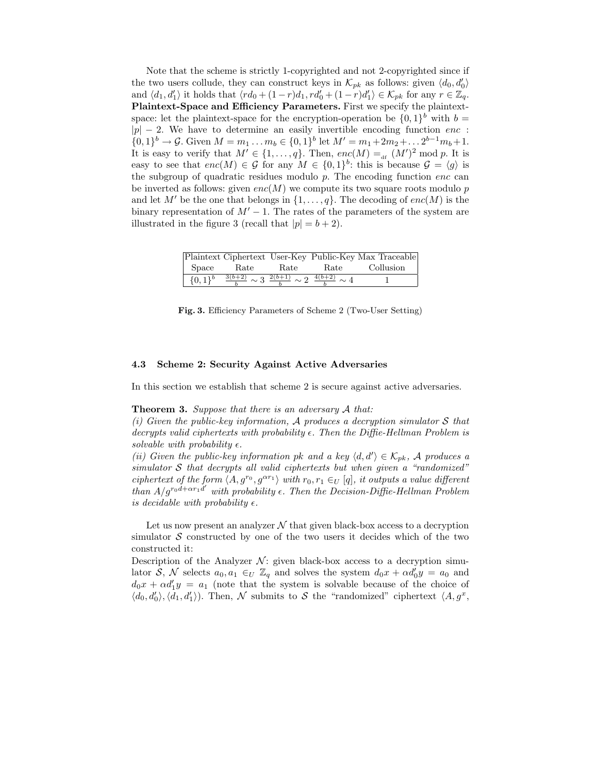Note that the scheme is strictly 1-copyrighted and not 2-copyrighted since if the two users collude, they can construct keys in  $\mathcal{K}_{pk}$  as follows: given  $\langle d_0, d'_0 \rangle$ and  $\langle d_1, d'_1 \rangle$  it holds that  $\langle rd_0 + (1 - r)d_1, rd'_0 + (1 - r)d'_1 \rangle \in \mathcal{K}_{pk}$  for any  $r \in \mathbb{Z}_q$ . Plaintext-Space and Efficiency Parameters. First we specify the plaintextspace: let the plaintext-space for the encryption-operation be  $\{0,1\}^b$  with  $b=$  $|p| - 2$ . We have to determine an easily invertible encoding function *enc* :  $\{0,1\}^b \rightarrow \mathcal{G}$ . Given  $M = m_1 \dots m_b \in \{0,1\}^b$  let  $M' = m_1 + 2m_2 + \dots + 2^{b-1}m_b + 1$ . It is easy to verify that  $M' \in \{1, ..., q\}$ . Then,  $enc(M) =_{\text{df}} (M')^2 \text{ mod } p$ . It is easy to see that  $enc(M) \in \mathcal{G}$  for any  $M \in \{0,1\}^b$ : this is because  $\mathcal{G} = \langle g \rangle$  is the subgroup of quadratic residues modulo  $p$ . The encoding function enc can be inverted as follows: given  $enc(M)$  we compute its two square roots modulo p and let M' be the one that belongs in  $\{1, \ldots, q\}$ . The decoding of  $enc(M)$  is the binary representation of  $M' - 1$ . The rates of the parameters of the system are illustrated in the figure 3 (recall that  $|p| = b + 2$ ).

|             |      |      |                                                                           | Plaintext Ciphertext User-Key Public-Key Max Traceable |
|-------------|------|------|---------------------------------------------------------------------------|--------------------------------------------------------|
| Space       | Rate | Rate | Rate                                                                      | Collusion                                              |
| $\{0,1\}^b$ |      |      | $\frac{3(b+2)}{2} \sim 3 \frac{2(b+1)}{2} \sim 2 \frac{4(b+2)}{2} \sim 4$ |                                                        |

Fig. 3. Efficiency Parameters of Scheme 2 (Two-User Setting)

#### 4.3 Scheme 2: Security Against Active Adversaries

In this section we establish that scheme 2 is secure against active adversaries.

#### **Theorem 3.** Suppose that there is an adversary A that:

(i) Given the public-key information, A produces a decryption simulator  $S$  that decrypts valid ciphertexts with probability  $\epsilon$ . Then the Diffie-Hellman Problem is solvable with probability  $\epsilon$ .

(ii) Given the public-key information pk and a key  $\langle d, d' \rangle \in \mathcal{K}_{pk}$ , A produces a simulator S that decrypts all valid ciphertexts but when given a "randomized" ciphertext of the form  $\langle A, g^{r_0}, g^{\alpha r_1} \rangle$  with  $r_0, r_1 \in_U [q]$ , it outputs a value different than  $A/g^{r_0d + \alpha r_1d'}$  with probability  $\epsilon$ . Then the Decision-Diffie-Hellman Problem is decidable with probability  $\epsilon$ .

Let us now present an analyzer  $N$  that given black-box access to a decryption simulator  $S$  constructed by one of the two users it decides which of the two constructed it:

Description of the Analyzer  $\mathcal N$ : given black-box access to a decryption simulator S, N selects  $a_0, a_1 \in U \mathbb{Z}_q$  and solves the system  $d_0x + \alpha d'_0y = a_0$  and  $d_0x + \alpha d_1' y = a_1$  (note that the system is solvable because of the choice of  $\langle d_0, d'_0 \rangle, \langle d_1, d'_1 \rangle$ . Then, N submits to S the "randomized" ciphertext  $\langle A, g^x,$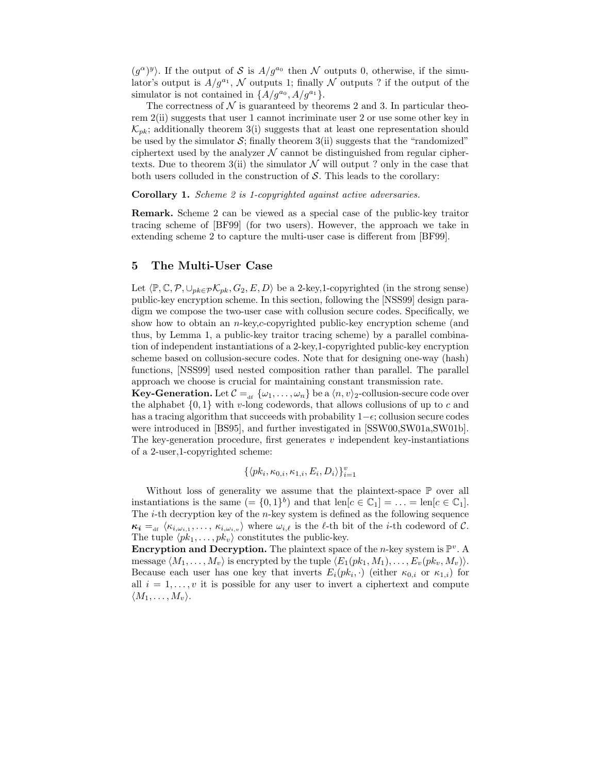$(g^{\alpha})^y$ ). If the output of S is  $A/g^{a_0}$  then N outputs 0, otherwise, if the simulator's output is  $A/g^{a_1}$ , N outputs 1; finally N outputs ? if the output of the simulator is not contained in  $\{A/g^{a_0}, A/g^{a_1}\}.$ 

The correctness of  $\mathcal N$  is guaranteed by theorems 2 and 3. In particular theorem 2(ii) suggests that user 1 cannot incriminate user 2 or use some other key in  $\mathcal{K}_{pk}$ ; additionally theorem 3(i) suggests that at least one representation should be used by the simulator  $S$ ; finally theorem  $3(i)$  suggests that the "randomized" ciphertext used by the analyzer  $N$  cannot be distinguished from regular ciphertexts. Due to theorem 3(ii) the simulator  $\mathcal N$  will output ? only in the case that both users colluded in the construction of  $S$ . This leads to the corollary:

Corollary 1. Scheme 2 is 1-copyrighted against active adversaries.

Remark. Scheme 2 can be viewed as a special case of the public-key traitor tracing scheme of [BF99] (for two users). However, the approach we take in extending scheme 2 to capture the multi-user case is different from [BF99].

# 5 The Multi-User Case

Let  $\langle P, \mathbb{C}, \mathcal{P}, \cup_{nk \in \mathcal{P}} \mathcal{K}_{nk}, G_2, E, D \rangle$  be a 2-key,1-copyrighted (in the strong sense) public-key encryption scheme. In this section, following the [NSS99] design paradigm we compose the two-user case with collusion secure codes. Specifically, we show how to obtain an  $n$ -key,c-copyrighted public-key encryption scheme (and thus, by Lemma 1, a public-key traitor tracing scheme) by a parallel combination of independent instantiations of a 2-key,1-copyrighted public-key encryption scheme based on collusion-secure codes. Note that for designing one-way (hash) functions, [NSS99] used nested composition rather than parallel. The parallel approach we choose is crucial for maintaining constant transmission rate.

**Key-Generation.** Let  $\mathcal{C} =_{\mathcal{A} \{ \omega_1, \ldots, \omega_n \}}$  be a  $\langle n, v \rangle_2$ -collusion-secure code over the alphabet  $\{0,1\}$  with v-long codewords, that allows collusions of up to c and has a tracing algorithm that succeeds with probability  $1-\epsilon$ ; collusion secure codes were introduced in [BS95], and further investigated in [SSW00,SW01a,SW01b]. The key-generation procedure, first generates  $v$  independent key-instantiations of a 2-user,1-copyrighted scheme:

$$
\{\langle pk_i, \kappa_{0,i}, \kappa_{1,i}, E_i, D_i \rangle\}_{i=1}^v
$$

Without loss of generality we assume that the plaintext-space  $\mathbb P$  over all instantiations is the same  $( = \{0,1\}^b)$  and that  $len[c \in \mathbb{C}_1] = ... = len[c \in \mathbb{C}_1]$ . The  $i$ -th decryption key of the *n*-key system is defined as the following sequence  $\kappa_i =_{\text{df}} \langle \kappa_{i,\omega_{i,1}}, \ldots, \kappa_{i,\omega_{i,v}} \rangle$  where  $\omega_{i,\ell}$  is the  $\ell$ -th bit of the *i*-th codeword of  $\mathcal{C}$ . The tuple  $\langle pk_1, \ldots, pk_v \rangle$  constitutes the public-key.

**Encryption and Decryption.** The plaintext space of the *n*-key system is  $\mathbb{P}^v$ . A message  $\langle M_1, \ldots, M_v \rangle$  is encrypted by the tuple  $\langle E_1(pk_1, M_1), \ldots, E_v(pk_v, M_v) \rangle$ . Because each user has one key that inverts  $E_i(pk_i, \cdot)$  (either  $\kappa_{0,i}$  or  $\kappa_{1,i}$ ) for all  $i = 1, \ldots, v$  it is possible for any user to invert a ciphertext and compute  $\langle M_1, \ldots, M_v \rangle$ .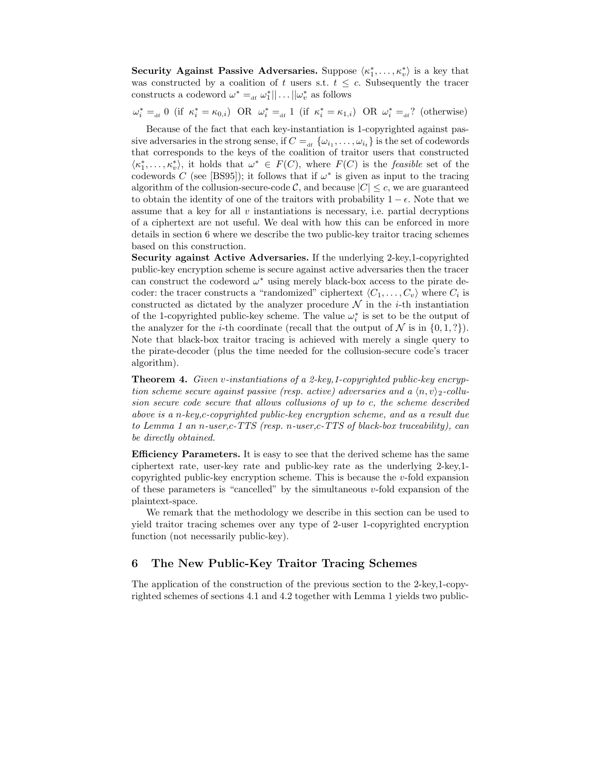Security Against Passive Adversaries. Suppose  $\langle \kappa_1^*, \ldots, \kappa_v^* \rangle$  is a key that was constructed by a coalition of t users s.t.  $t \leq c$ . Subsequently the tracer constructs a codeword  $\omega^* =_{\text{df}} \omega_1^* || \dots || \omega_v^*$  as follows

 $\omega_i^* =_{\text{df}} 0$  (if  $\kappa_i^* = \kappa_{0,i}$ ) OR  $\omega_i^* =_{\text{df}} 1$  (if  $\kappa_i^* = \kappa_{1,i}$ ) OR  $\omega_i^* =_{\text{df}}$ ? (otherwise)

Because of the fact that each key-instantiation is 1-copyrighted against passive adversaries in the strong sense, if  $C =$ <sub>df</sub>  $\{\omega_{i_1}, \dots, \omega_{i_t}\}$  is the set of codewords that corresponds to the keys of the coalition of traitor users that constructed  $\langle \kappa_1^*, \ldots, \kappa_v^* \rangle$ , it holds that  $\omega^* \in F(C)$ , where  $F(C)$  is the *feasible* set of the codewords C (see [BS95]); it follows that if  $\omega^*$  is given as input to the tracing algorithm of the collusion-secure-code C, and because  $|C| \leq c$ , we are guaranteed to obtain the identity of one of the traitors with probability  $1 - \epsilon$ . Note that we assume that a key for all  $v$  instantiations is necessary, i.e. partial decryptions of a ciphertext are not useful. We deal with how this can be enforced in more details in section 6 where we describe the two public-key traitor tracing schemes based on this construction.

Security against Active Adversaries. If the underlying 2-key,1-copyrighted public-key encryption scheme is secure against active adversaries then the tracer can construct the codeword  $\omega^*$  using merely black-box access to the pirate decoder: the tracer constructs a "randomized" ciphertext  $\langle C_1, \ldots, C_v \rangle$  where  $C_i$  is constructed as dictated by the analyzer procedure  $\mathcal N$  in the *i*-th instantiation of the 1-copyrighted public-key scheme. The value  $\omega_i^*$  is set to be the output of the analyzer for the *i*-th coordinate (recall that the output of  $N$  is in  $\{0, 1, ?\}$ ). Note that black-box traitor tracing is achieved with merely a single query to the pirate-decoder (plus the time needed for the collusion-secure code's tracer algorithm).

**Theorem 4.** Given v-instantiations of a 2-key, 1-copyrighted public-key encryption scheme secure against passive (resp. active) adversaries and a  $\langle n, v \rangle$ <sub>2</sub>-collusion secure code secure that allows collusions of up to c, the scheme described above is a n-key,c-copyrighted public-key encryption scheme, and as a result due to Lemma 1 an n-user,c-TTS (resp. n-user,c-TTS of black-box traceability), can be directly obtained.

Efficiency Parameters. It is easy to see that the derived scheme has the same ciphertext rate, user-key rate and public-key rate as the underlying 2-key,1 copyrighted public-key encryption scheme. This is because the  $v$ -fold expansion of these parameters is "cancelled" by the simultaneous  $v$ -fold expansion of the plaintext-space.

We remark that the methodology we describe in this section can be used to yield traitor tracing schemes over any type of 2-user 1-copyrighted encryption function (not necessarily public-key).

# 6 The New Public-Key Traitor Tracing Schemes

The application of the construction of the previous section to the 2-key,1-copyrighted schemes of sections 4.1 and 4.2 together with Lemma 1 yields two public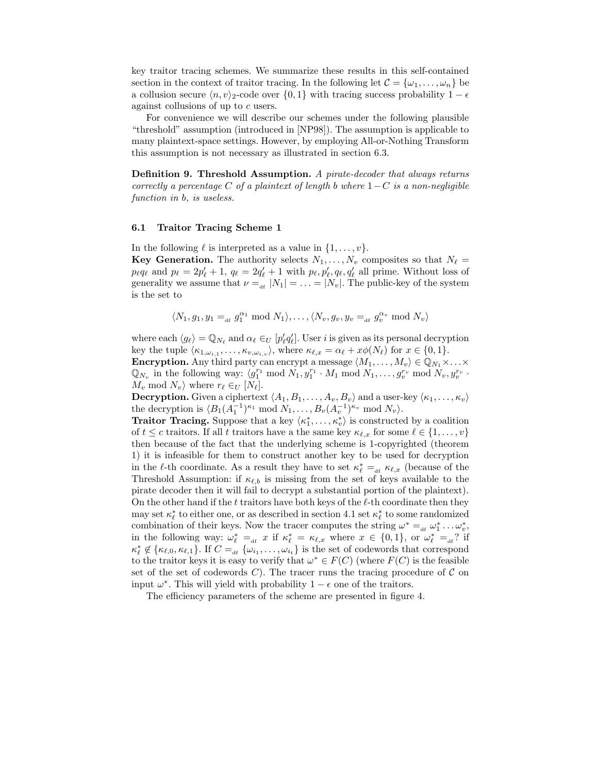key traitor tracing schemes. We summarize these results in this self-contained section in the context of traitor tracing. In the following let  $\mathcal{C} = {\omega_1, \ldots, \omega_n}$  be a collusion secure  $\langle n, v \rangle$ <sub>2</sub>-code over  $\{0, 1\}$  with tracing success probability 1 −  $\epsilon$ against collusions of up to c users.

For convenience we will describe our schemes under the following plausible "threshold" assumption (introduced in [NP98]). The assumption is applicable to many plaintext-space settings. However, by employing All-or-Nothing Transform this assumption is not necessary as illustrated in section 6.3.

Definition 9. Threshold Assumption. A pirate-decoder that always returns correctly a percentage C of a plaintext of length b where  $1-C$  is a non-negligible function in b, is useless.

#### 6.1 Traitor Tracing Scheme 1

In the following  $\ell$  is interpreted as a value in  $\{1, \ldots, v\}$ .

**Key Generation.** The authority selects  $N_1, \ldots, N_v$  composites so that  $N_\ell =$  $p_{\ell}q_{\ell}$  and  $p_{\ell} = 2p'_{\ell} + 1$ ,  $q_{\ell} = 2q'_{\ell} + 1$  with  $p_{\ell}, p'_{\ell}, q_{\ell}, q'_{\ell}$  all prime. Without loss of generality we assume that  $\nu =_{df} |N_1| = \ldots = |N_v|$ . The public-key of the system is the set to

$$
\langle N_1, g_1, y_1 =_{df} g_1^{\alpha_1} \bmod N_1 \rangle, \ldots, \langle N_v, g_v, y_v =_{df} g_v^{\alpha_v} \bmod N_v \rangle
$$

where each  $\langle g_\ell \rangle = \mathbb{Q}_{N_\ell}$  and  $\alpha_\ell \in_U [p'_\ell q'_\ell]$ . User *i* is given as its personal decryption key the tuple  $\langle \kappa_{1,\omega_{i,1}}, \ldots, \kappa_{v,\omega_{i,v}} \rangle$ , where  $\kappa_{\ell,x} = \alpha_{\ell} + x\phi(N_{\ell})$  for  $x \in \{0,1\}.$ **Encryption.** Any third party can encrypt a message  $\langle M_1, \ldots, M_v \rangle \in \mathbb{Q}_{N_1} \times \ldots \times$  $\mathbb{Q}_{N_v}$  in the following way:  $\langle g_1^{r_1} \bmod N_1, y_1^{r_1} \cdot M_1 \bmod N_1, \ldots, g_v^{r_v} \bmod N_v, y_v^{r_v} \cdot$  $M_v \text{ mod } N_v$  where  $r_\ell \in U$  [N<sub>e</sub>].

**Decryption.** Given a ciphertext  $\langle A_1, B_1, \ldots, A_v, B_v \rangle$  and a user-key  $\langle \kappa_1, \ldots, \kappa_v \rangle$ the decryption is  $\langle B_1(A_1^{-1})^{\kappa_1} \bmod N_1, \ldots, B_v(A_v^{-1})^{\kappa_v} \bmod N_v \rangle$ .

**Traitor Tracing.** Suppose that a key  $\langle \kappa_1^*, \ldots, \kappa_v^* \rangle$  is constructed by a coalition of  $t \leq c$  traitors. If all t traitors have a the same key  $\kappa_{\ell,x}$  for some  $\ell \in \{1, \ldots, v\}$ then because of the fact that the underlying scheme is 1-copyrighted (theorem 1) it is infeasible for them to construct another key to be used for decryption in the  $\ell$ -th coordinate. As a result they have to set  $\kappa_{\ell}^* =_{\text{df}} \kappa_{\ell,x}$  (because of the Threshold Assumption: if  $\kappa_{\ell,b}$  is missing from the set of keys available to the pirate decoder then it will fail to decrypt a substantial portion of the plaintext). On the other hand if the t traitors have both keys of the  $\ell$ -th coordinate then they may set  $\kappa_{\ell}^*$  to either one, or as described in section 4.1 set  $\kappa_{\ell}^*$  to some randomized combination of their keys. Now the tracer computes the string  $\omega^* =_{df} \omega_1^* \dots \omega_v^*$ , in the following way:  $\omega_{\ell}^* =_{df} x$  if  $\kappa_{\ell}^* = \kappa_{\ell,x}$  where  $x \in \{0,1\}$ , or  $\omega_{\ell}^* =_{df} ?$  if  $\kappa_{\ell}^* \notin {\kappa_{\ell,0}, \kappa_{\ell,1}}$ . If  $C =_{\text{df}} {\{\omega_{i_1}, \ldots, \omega_{i_t}\}}$  is the set of codewords that correspond to the traitor keys it is easy to verify that  $\omega^* \in F(C)$  (where  $F(C)$  is the feasible set of the set of codewords C). The tracer runs the tracing procedure of  $\mathcal C$  on input  $\omega^*$ . This will yield with probability  $1 - \epsilon$  one of the traitors.

The efficiency parameters of the scheme are presented in figure 4.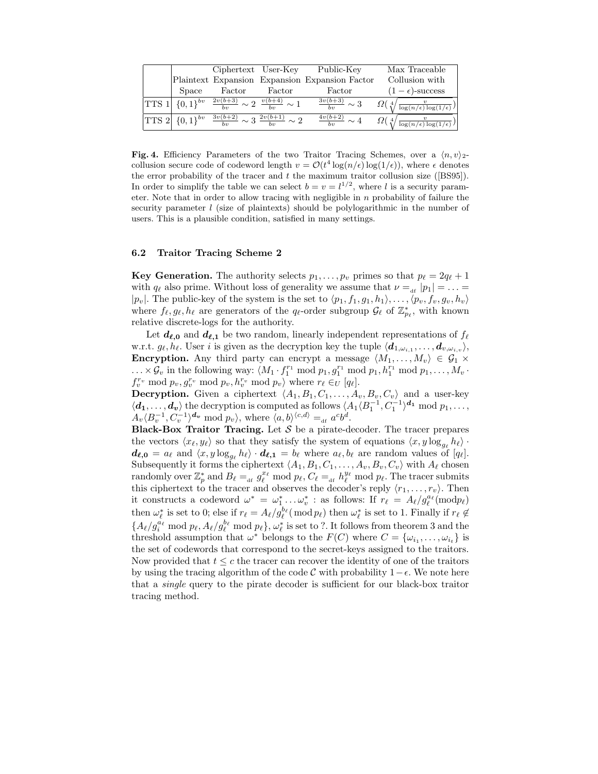|              |                                                                            |        | Ciphertext User-Key Public-Key                 | Max Traceable                                                                  |
|--------------|----------------------------------------------------------------------------|--------|------------------------------------------------|--------------------------------------------------------------------------------|
|              |                                                                            |        | Plaintext Expansion Expansion Expansion Factor | Collusion with                                                                 |
| <b>Space</b> | Factor                                                                     | Factor | Factor                                         | $(1 - \epsilon)$ -success                                                      |
|              | TTS 1 $\{0,1\}^{bv}$ $\frac{2v(b+3)}{bv} \sim 2 \frac{v(b+4)}{bv} \sim 1$  |        | $\frac{3v(b+3)}{1} \sim 3$                     | $\left(\sqrt[4]{\frac{v}{\log(n/\epsilon)\log(1/\epsilon)}}\right)$            |
|              | TTS 2 $\{0,1\}^{bv}$ $\frac{3v(b+2)}{bv} \sim 3 \frac{2v(b+1)}{bv} \sim 2$ |        | $\frac{4v(b+2)}{b} \sim 4$                     | $\Omega\left(\sqrt[4]{\frac{\omega}{\log(n/\epsilon)\log(1/\epsilon)}}\right)$ |

Fig. 4. Efficiency Parameters of the two Traitor Tracing Schemes, over a  $\langle n, v \rangle$ <sub>2</sub>collusion secure code of codeword length  $v = \mathcal{O}(t^4 \log(n/\epsilon) \log(1/\epsilon))$ , where  $\epsilon$  denotes the error probability of the tracer and  $t$  the maximum traitor collusion size ([BS95]). In order to simplify the table we can select  $b = v = l^{1/2}$ , where l is a security parameter. Note that in order to allow tracing with negligible in  $n$  probability of failure the security parameter  $l$  (size of plaintexts) should be polylogarithmic in the number of users. This is a plausible condition, satisfied in many settings.

### 6.2 Traitor Tracing Scheme 2

**Key Generation.** The authority selects  $p_1, \ldots, p_v$  primes so that  $p_\ell = 2q_\ell + 1$ with  $q_\ell$  also prime. Without loss of generality we assume that  $\nu =\frac{d}{dt} |p_1| = \ldots =$ | $p_v$ |. The public-key of the system is the set to  $\langle p_1, f_1, g_1, h_1 \rangle, \ldots, \langle p_v, f_v, g_v, h_v \rangle$ where  $f_{\ell}, g_{\ell}, h_{\ell}$  are generators of the  $q_{\ell}$ -order subgroup  $\mathcal{G}_{\ell}$  of  $\mathbb{Z}_{p_{\ell}}^{*}$ , with known relative discrete-logs for the authority.

Let  $d_{\ell,0}$  and  $d_{\ell,1}$  be two random, linearly independent representations of  $f_{\ell}$ w.r.t.  $g_\ell, \dot{h}_\ell$ . User i is given as the decryption key the tuple  $\langle d_{1,\omega_{i,1}}, \ldots, d_{v,\omega_{i,v}} \rangle$ , **Encryption.** Any third party can encrypt a message  $\langle M_1, \ldots, M_v \rangle \in \mathcal{G}_1 \times$  $\ldots \times \mathcal{G}_v$  in the following way:  $\langle M_1 \cdot f_1^{r_1} \bmod p_1, g_1^{r_1} \bmod p_1, h_1^{r_1} \bmod p_1, \ldots, M_v$ .  $f_v^{r_v} \mod p_v, g_v^{r_v} \mod p_v, h_v^{r_v} \mod p_v$  where  $r_\ell \in_U [q_\ell]$ .

**Decryption.** Given a ciphertext  $\langle A_1, B_1, C_1, \ldots, A_v, B_v, C_v \rangle$  and a user-key  $\langle d_1,\ldots,d_v\rangle$  the decryption is computed as follows  $\langle A_1\langle B_1^{-1},C_1^{-1}\rangle^{d_1} \bmod p_1,\ldots,$  $A_v \langle B_v^{-1}, C_v^{-1} \rangle^{d_v} \text{ mod } p_v \rangle$ , where  $\langle a, b \rangle^{\langle c,d \rangle} =_{\text{df}} a^c b^d$ .

Black-Box Traitor Tracing. Let  $S$  be a pirate-decoder. The tracer prepares the vectors  $\langle x_\ell, y_\ell \rangle$  so that they satisfy the system of equations  $\langle x, y \log_{g_\ell} h_\ell \rangle \cdot$  $d_{\ell,0} = a_{\ell}$  and  $\langle x, y \log_{g_{\ell}} h_{\ell} \rangle \cdot d_{\ell,1} = b_{\ell}$  where  $a_{\ell}, b_{\ell}$  are random values of  $[q_{\ell}]$ . Subsequently it forms the ciphertext  $\langle A_1, B_1, C_1, \ldots, A_v, B_v, C_v \rangle$  with  $A_\ell$  chosen randomly over  $\mathbb{Z}_p^*$  and  $B_\ell =_{df} g_\ell^{x_\ell} \mod p_\ell, C_\ell =_{df} h_\ell^{y_\ell} \mod p_\ell$ . The tracer submits this ciphertext to the tracer and observes the decoder's reply  $\langle r_1, \ldots, r_v \rangle$ . Then it constructs a codeword  $\omega^* = \omega_1^* \dots \omega_v^*$  : as follows: If  $r_\ell = A_\ell / g_\ell^{a_\ell}(\text{mod}p_\ell)$ then  $\omega_{\ell}^*$  is set to 0; else if  $r_{\ell} = A_{\ell}/g_{\ell}^{b_{\ell}}(\bmod p_{\ell})$  then  $\omega_{\ell}^*$  is set to 1. Finally if  $r_{\ell} \notin$  ${A_{\ell}}/g_i^{a_{\ell}} \mod p_{\ell}, A_{\ell}/g_{\ell}^{b_{\ell}} \mod p_{\ell}, \omega_{\ell}^{*} \text{ is set to } ?$ . It follows from theorem 3 and the threshold assumption that  $\omega^*$  belongs to the  $F(C)$  where  $C = {\omega_{i_1}, \dots, \omega_{i_t}}$  is the set of codewords that correspond to the secret-keys assigned to the traitors. Now provided that  $t \leq c$  the tracer can recover the identity of one of the traitors by using the tracing algorithm of the code  $\mathcal C$  with probability  $1-\epsilon$ . We note here that a single query to the pirate decoder is sufficient for our black-box traitor tracing method.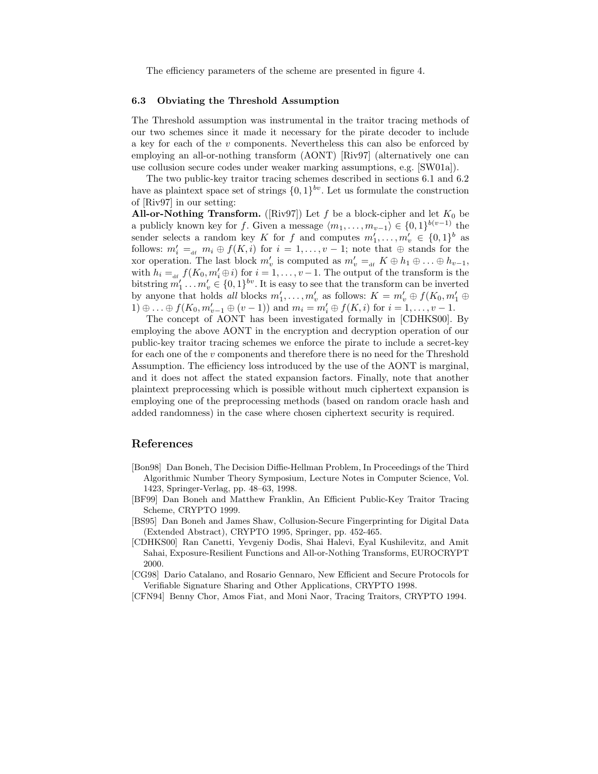The efficiency parameters of the scheme are presented in figure 4.

### 6.3 Obviating the Threshold Assumption

The Threshold assumption was instrumental in the traitor tracing methods of our two schemes since it made it necessary for the pirate decoder to include a key for each of the v components. Nevertheless this can also be enforced by employing an all-or-nothing transform (AONT) [Riv97] (alternatively one can use collusion secure codes under weaker marking assumptions, e.g. [SW01a]).

The two public-key traitor tracing schemes described in sections 6.1 and 6.2 have as plaintext space set of strings  $\{0,1\}^{bv}$ . Let us formulate the construction of [Riv97] in our setting:

All-or-Nothing Transform. ([Riv97]) Let f be a block-cipher and let  $K_0$  be a publicly known key for f. Given a message  $\langle m_1, \ldots, m_{v-1} \rangle \in \{0, 1\}^{b(v-1)}$  the sender selects a random key K for f and computes  $m'_1, \ldots, m'_v \in \{0,1\}^b$  as follows:  $m'_i =_{\text{df}} m_i \oplus f(K,i)$  for  $i = 1, \ldots, v-1$ ; note that  $\oplus$  stands for the xor operation. The last block  $m'_v$  is computed as  $m'_v =_{df} K \oplus h_1 \oplus \ldots \oplus h_{v-1}$ , with  $h_i =_{df} f(K_0, m'_i \oplus i)$  for  $i = 1, ..., v - 1$ . The output of the transform is the bitstring  $m'_1 \ldots m'_v \in \{0,1\}^{bv}$ . It is easy to see that the transform can be inverted by anyone that holds all blocks  $m'_1, \ldots, m'_v$  as follows:  $K = m'_v \oplus f(K_0, m'_1 \oplus$  $1) \oplus ... \oplus f(K_0, m'_{v-1} \oplus (v-1))$  and  $m_i = m'_i \oplus f(K, i)$  for  $i = 1, ..., v-1$ .

The concept of AONT has been investigated formally in [CDHKS00]. By employing the above AONT in the encryption and decryption operation of our public-key traitor tracing schemes we enforce the pirate to include a secret-key for each one of the v components and therefore there is no need for the Threshold Assumption. The efficiency loss introduced by the use of the AONT is marginal, and it does not affect the stated expansion factors. Finally, note that another plaintext preprocessing which is possible without much ciphertext expansion is employing one of the preprocessing methods (based on random oracle hash and added randomness) in the case where chosen ciphertext security is required.

## References

- [Bon98] Dan Boneh, The Decision Diffie-Hellman Problem, In Proceedings of the Third Algorithmic Number Theory Symposium, Lecture Notes in Computer Science, Vol. 1423, Springer-Verlag, pp. 48–63, 1998.
- [BF99] Dan Boneh and Matthew Franklin, An Efficient Public-Key Traitor Tracing Scheme, CRYPTO 1999.
- [BS95] Dan Boneh and James Shaw, Collusion-Secure Fingerprinting for Digital Data (Extended Abstract), CRYPTO 1995, Springer, pp. 452-465.
- [CDHKS00] Ran Canetti, Yevgeniy Dodis, Shai Halevi, Eyal Kushilevitz, and Amit Sahai, Exposure-Resilient Functions and All-or-Nothing Transforms, EUROCRYPT 2000.
- [CG98] Dario Catalano, and Rosario Gennaro, New Efficient and Secure Protocols for Verifiable Signature Sharing and Other Applications, CRYPTO 1998.
- [CFN94] Benny Chor, Amos Fiat, and Moni Naor, Tracing Traitors, CRYPTO 1994.